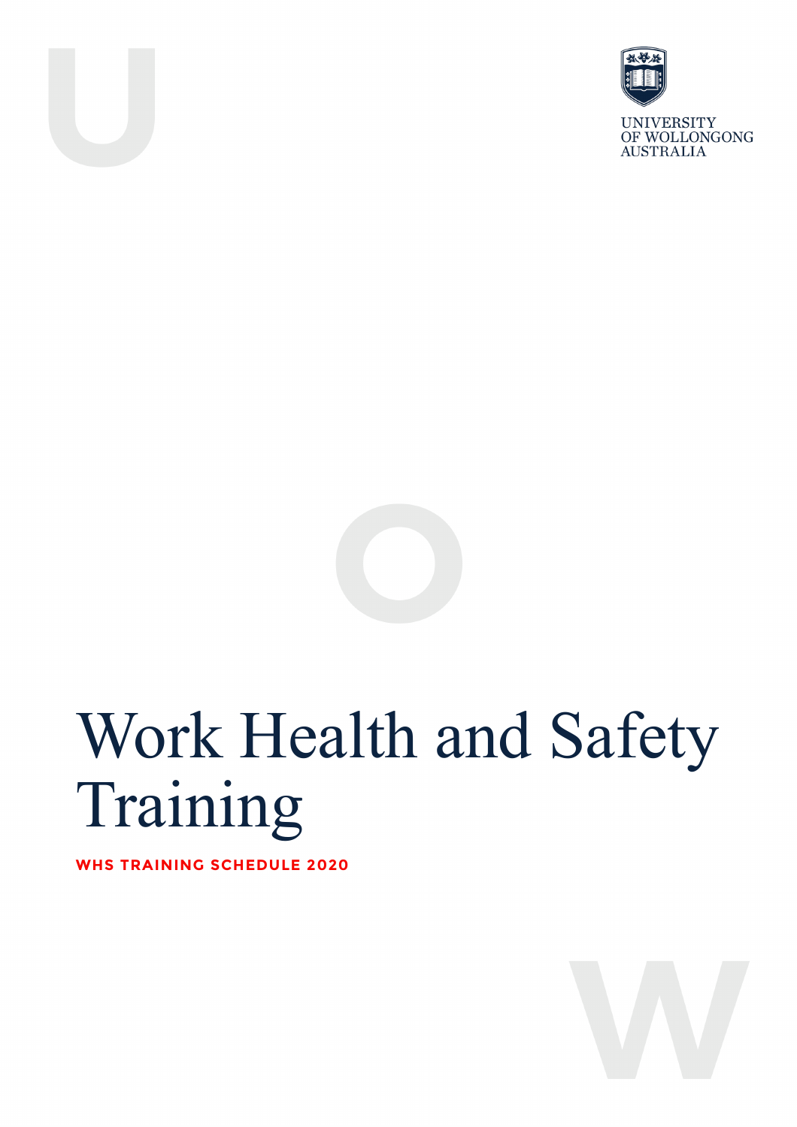



**UNIVERSITY** OF WOLLONGONG **AUSTRALIA** 



# Work Health and Safety Training

**WHS TRAINING SCHEDULE 2020**

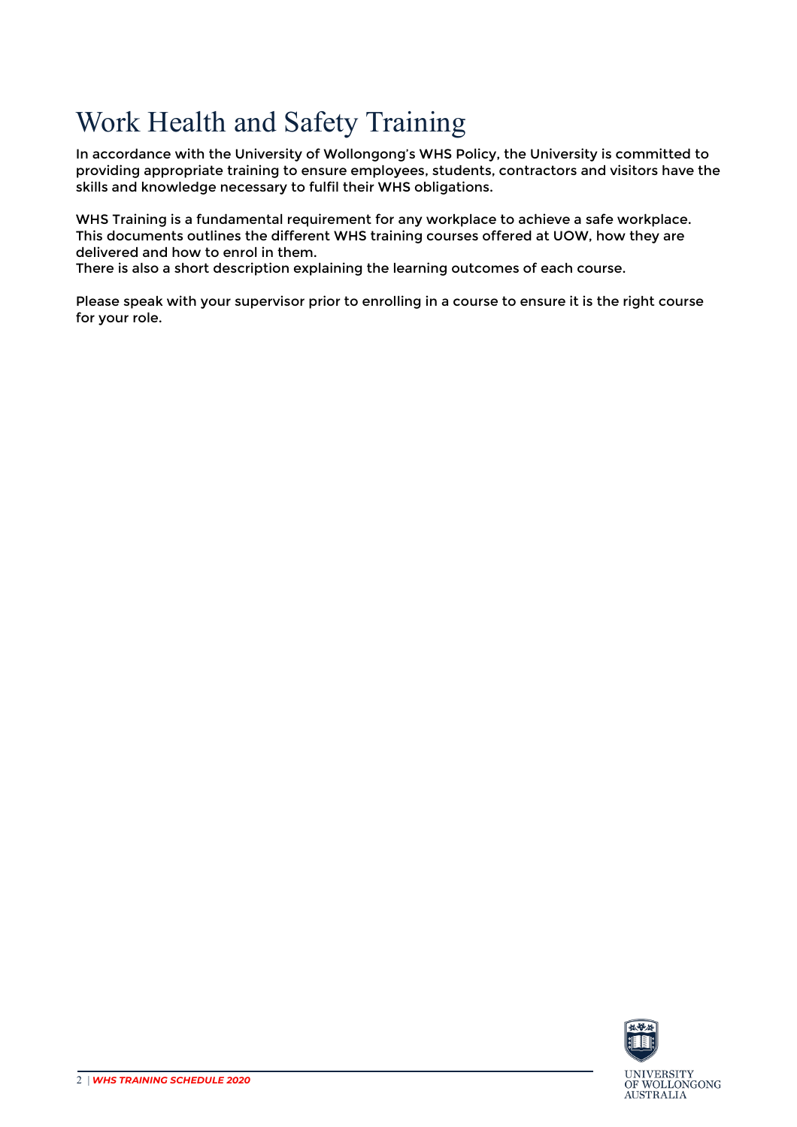# Work Health and Safety Training

In accordance with the University of Wollongong's WHS Policy, the University is committed to providing appropriate training to ensure employees, students, contractors and visitors have the skills and knowledge necessary to fulfil their WHS obligations.

WHS Training is a fundamental requirement for any workplace to achieve a safe workplace. This documents outlines the different WHS training courses offered at UOW, how they are delivered and how to enrol in them.

There is also a short description explaining the learning outcomes of each course.

Please speak with your supervisor prior to enrolling in a course to ensure it is the right course for your role.

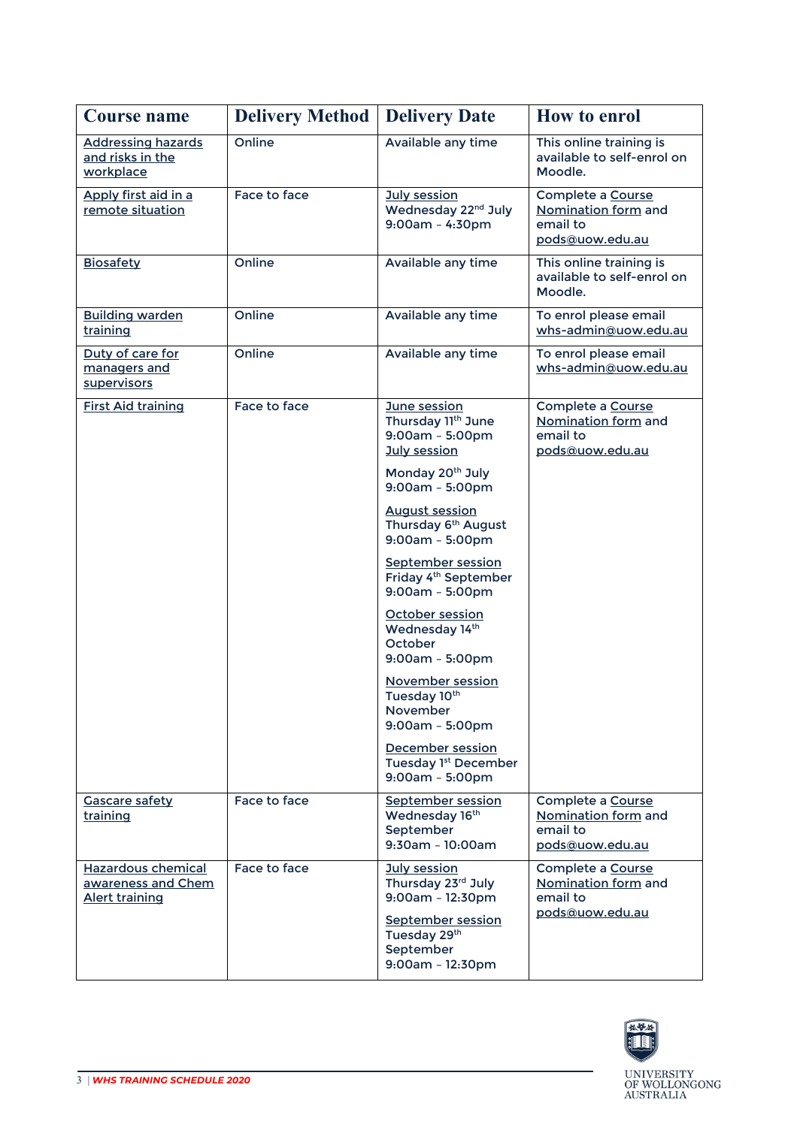| <b>Course name</b>                                                | <b>Delivery Method</b> | <b>Delivery Date</b>                                                          | <b>How to enrol</b>                                                     |
|-------------------------------------------------------------------|------------------------|-------------------------------------------------------------------------------|-------------------------------------------------------------------------|
| <b>Addressing hazards</b><br>and risks in the<br>workplace        | Online                 | Available any time                                                            | This online training is<br>available to self-enrol on<br>Moodle.        |
| Apply first aid in a<br>remote situation                          | Face to face           | July session<br>Wednesday 22 <sup>nd</sup> July<br>$9:00am - 4:30pm$          | Complete a Course<br>Nomination form and<br>email to<br>pods@uow.edu.au |
| <b>Biosafety</b>                                                  | Online                 | Available any time                                                            | This online training is<br>available to self-enrol on<br>Moodle.        |
| <b>Building warden</b><br>training                                | Online                 | Available any time                                                            | To enrol please email<br>whs-admin@uow.edu.au                           |
| Duty of care for<br>managers and<br>supervisors                   | Online                 | Available any time                                                            | To enrol please email<br>whs-admin@uow.edu.au                           |
| <b>First Aid training</b>                                         | Face to face           | June session<br>Thursday 11th June<br>$9:00am - 5:00pm$<br>July session       | Complete a Course<br>Nomination form and<br>email to<br>pods@uow.edu.au |
|                                                                   |                        | Monday 20 <sup>th</sup> July<br>$9:00am - 5:00pm$                             |                                                                         |
|                                                                   |                        | <b>August session</b><br>Thursday 6 <sup>th</sup> August<br>$9:00am - 5:00pm$ |                                                                         |
|                                                                   |                        | September session<br>Friday 4 <sup>th</sup> September<br>$9:00am - 5:00pm$    |                                                                         |
|                                                                   |                        | October session<br>Wednesday 14th<br>October<br>$9:00am - 5:00pm$             |                                                                         |
|                                                                   |                        | November session<br>Tuesday 10th<br>November<br>$9:00am - 5:00pm$             |                                                                         |
|                                                                   |                        | December session<br>Tuesday 1st December<br>$9:00am - 5:00pm$                 |                                                                         |
| <b>Gascare safety</b><br>training                                 | Face to face           | <b>September session</b><br>Wednesday 16th<br>September<br>9:30am - 10:00am   | Complete a Course<br>Nomination form and<br>email to<br>pods@uow.edu.au |
| Hazardous chemical<br>awareness and Chem<br><b>Alert training</b> | Face to face           | July session<br>Thursday 23rd July<br>$9:00am - 12:30pm$                      | Complete a Course<br>Nomination form and<br>email to                    |
|                                                                   |                        | <b>September session</b><br>Tuesday 29th<br>September<br>$9:00am - 12:30pm$   | pods@uow.edu.au                                                         |

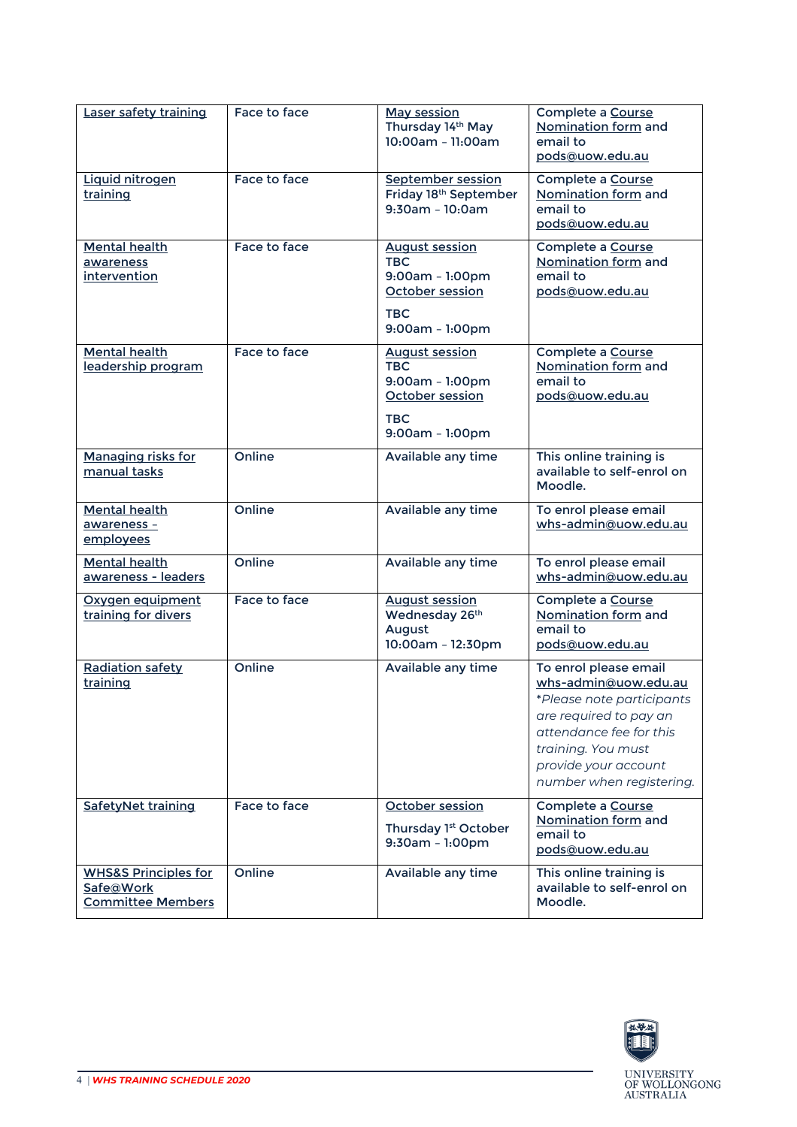| Laser safety training                                                    | Face to face | <b>May session</b><br>Thursday 14th May<br>10:00am - 11:00am                                                 | Complete a Course<br>Nomination form and<br>email to<br>pods@uow.edu.au                                                                                                                                   |
|--------------------------------------------------------------------------|--------------|--------------------------------------------------------------------------------------------------------------|-----------------------------------------------------------------------------------------------------------------------------------------------------------------------------------------------------------|
| Liquid nitrogen<br>training                                              | Face to face | September session<br>Friday 18 <sup>th</sup> September<br>9:30am - 10:0am                                    | Complete a Course<br>Nomination form and<br>email to<br>pods@uow.edu.au                                                                                                                                   |
| <b>Mental health</b><br>awareness<br>intervention                        | Face to face | <b>August session</b><br><b>TBC</b><br>9:00am - 1:00pm<br>October session<br><b>TBC</b><br>9:00am - 1:00pm   | Complete a Course<br>Nomination form and<br>email to<br>pods@uow.edu.au                                                                                                                                   |
| <b>Mental health</b><br>leadership program                               | Face to face | <b>August session</b><br><b>TBC</b><br>9:00am - 1:00pm<br>October session<br><b>TBC</b><br>$9:00am - 1:00pm$ | Complete a Course<br>Nomination form and<br>email to<br>pods@uow.edu.au                                                                                                                                   |
| <b>Managing risks for</b><br>manual tasks                                | Online       | Available any time                                                                                           | This online training is<br>available to self-enrol on<br>Moodle.                                                                                                                                          |
| <b>Mental health</b><br>awareness -<br>employees                         | Online       | Available any time                                                                                           | To enrol please email<br>whs-admin@uow.edu.au                                                                                                                                                             |
| <b>Mental health</b><br>awareness - leaders                              | Online       | Available any time                                                                                           | To enrol please email<br>whs-admin@uow.edu.au                                                                                                                                                             |
| Oxygen equipment<br>training for divers                                  | Face to face | <b>August session</b><br>Wednesday 26th<br>August<br>10:00am - 12:30pm                                       | Complete a Course<br>Nomination form and<br>email to<br>pods@uow.edu.au                                                                                                                                   |
| <b>Radiation safety</b><br>training                                      | Online       | Available any time                                                                                           | To enrol please email<br>whs-admin@uow.edu.au<br>*Please note participants<br>are required to pay an<br>attendance fee for this<br>training. You must<br>provide your account<br>number when registering. |
| SafetyNet training                                                       | Face to face | October session<br>Thursday 1st October<br>9:30am - 1:00pm                                                   | Complete a Course<br>Nomination form and<br>email to<br>pods@uow.edu.au                                                                                                                                   |
| <b>WHS&amp;S Principles for</b><br>Safe@Work<br><b>Committee Members</b> | Online       | Available any time                                                                                           | This online training is<br>available to self-enrol on<br>Moodle.                                                                                                                                          |

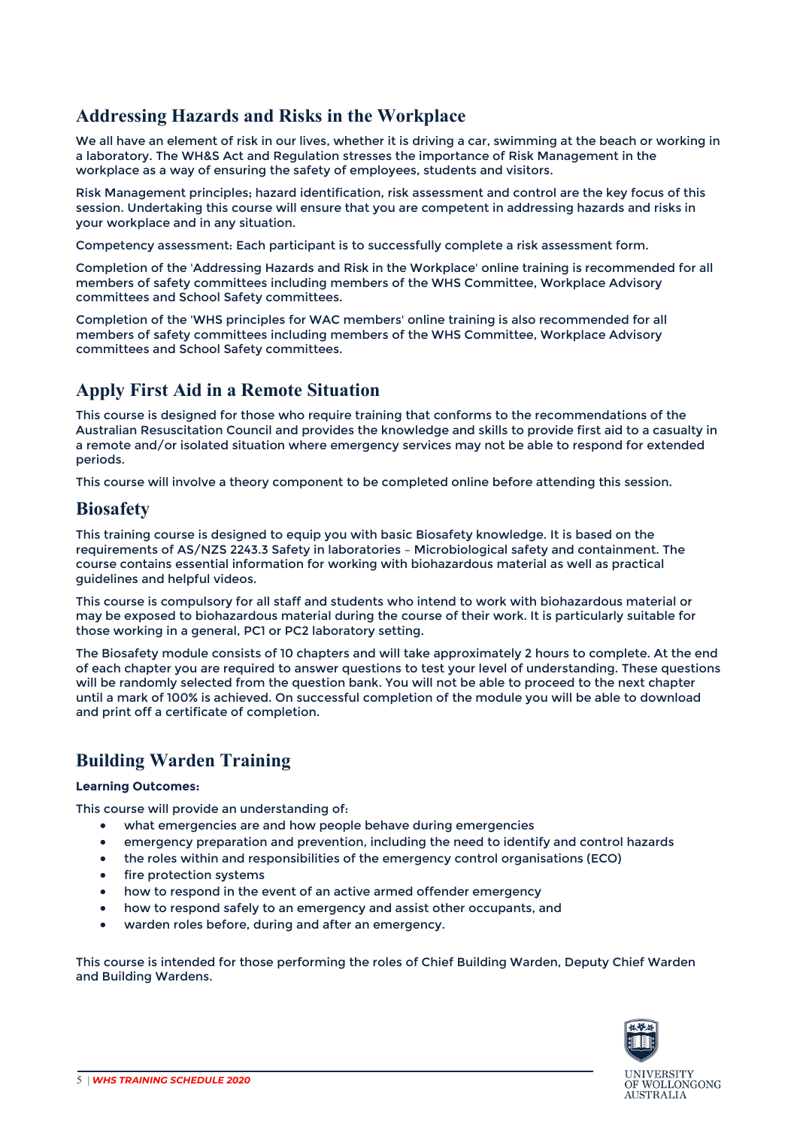#### <span id="page-4-0"></span>**Addressing Hazards and Risks in the Workplace**

We all have an element of risk in our lives, whether it is driving a car, swimming at the beach or working in a laboratory. The WH&S Act and Regulation stresses the importance of Risk Management in the workplace as a way of ensuring the safety of employees, students and visitors.

Risk Management principles; hazard identification, risk assessment and control are the key focus of this session. Undertaking this course will ensure that you are competent in addressing hazards and risks in your workplace and in any situation.

Competency assessment: Each participant is to successfully complete a risk assessment form.

Completion of the 'Addressing Hazards and Risk in the Workplace' online training is recommended for all members of safety committees including members of the WHS Committee, Workplace Advisory committees and School Safety committees.

Completion of the 'WHS principles for WAC members' online training is also recommended for all members of safety committees including members of the WHS Committee, Workplace Advisory committees and School Safety committees.

#### <span id="page-4-1"></span>**Apply First Aid in a Remote Situation**

This course is designed for those who require training that conforms to the recommendations of the Australian Resuscitation Council and provides the knowledge and skills to provide first aid to a casualty in a remote and/or isolated situation where emergency services may not be able to respond for extended periods.

This course will involve a theory component to be completed online before attending this session.

#### <span id="page-4-2"></span>**Biosafety**

This training course is designed to equip you with basic Biosafety knowledge. It is based on the requirements of AS/NZS 2243.3 Safety in laboratories – Microbiological safety and containment. The course contains essential information for working with biohazardous material as well as practical guidelines and helpful videos.

This course is compulsory for all staff and students who intend to work with biohazardous material or may be exposed to biohazardous material during the course of their work. It is particularly suitable for those working in a general, PC1 or PC2 laboratory setting.

The Biosafety module consists of 10 chapters and will take approximately 2 hours to complete. At the end of each chapter you are required to answer questions to test your level of understanding. These questions will be randomly selected from the question bank. You will not be able to proceed to the next chapter until a mark of 100% is achieved. On successful completion of the module you will be able to download and print off a certificate of completion.

#### <span id="page-4-3"></span>**Building Warden Training**

#### **Learning Outcomes:**

This course will provide an understanding of:

- what emergencies are and how people behave during emergencies
- emergency preparation and prevention, including the need to identify and control hazards
- the roles within and responsibilities of the emergency control organisations (ECO)
- fire protection systems
- how to respond in the event of an active armed offender emergency
- how to respond safely to an emergency and assist other occupants, and
- warden roles before, during and after an emergency.

This course is intended for those performing the roles of Chief Building Warden, Deputy Chief Warden and Building Wardens.

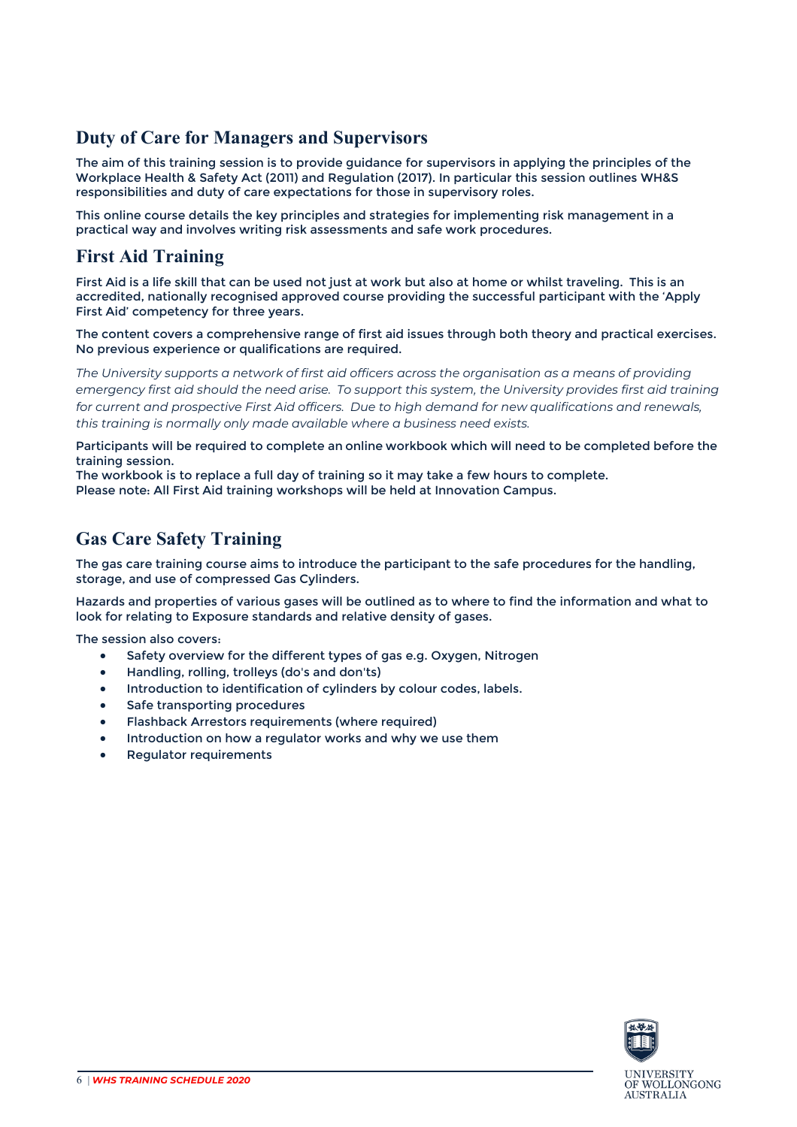#### <span id="page-5-0"></span>**Duty of Care for Managers and Supervisors**

The aim of this training session is to provide guidance for supervisors in applying the principles of the Workplace Health & Safety Act (2011) and Regulation (2017). In particular this session outlines WH&S responsibilities and duty of care expectations for those in supervisory roles.

This online course details the key principles and strategies for implementing risk management in a practical way and involves writing risk assessments and safe work procedures.

#### <span id="page-5-1"></span>**First Aid Training**

First Aid is a life skill that can be used not just at work but also at home or whilst traveling. This is an accredited, nationally recognised approved course providing the successful participant with the 'Apply First Aid' competency for three years.

The content covers a comprehensive range of first aid issues through both theory and practical exercises. No previous experience or qualifications are required.

*The University supports a network of first aid officers across the organisation as a means of providing* emergency first aid should the need arise. To support this system, the University provides first aid training *for current and prospective First Aid officers. Due to high demand for new qualifications and renewals, this training is normally only made available where a business need exists.*

Participants will be required to complete an online workbook which will need to be completed before the training session.

<span id="page-5-2"></span>The workbook is to replace a full day of training so it may take a few hours to complete. Please note: All First Aid training workshops will be held at Innovation Campus.

#### **Gas Care Safety Training**

The gas care training course aims to introduce the participant to the safe procedures for the handling, storage, and use of compressed Gas Cylinders.

Hazards and properties of various gases will be outlined as to where to find the information and what to look for relating to Exposure standards and relative density of gases.

The session also covers:

- Safety overview for the different types of gas e.g. Oxygen, Nitrogen
- Handling, rolling, trolleys (do's and don'ts)
- Introduction to identification of cylinders by colour codes, labels.
- Safe transporting procedures
- Flashback Arrestors requirements (where required)
- Introduction on how a regulator works and why we use them
- <span id="page-5-3"></span>Regulator requirements

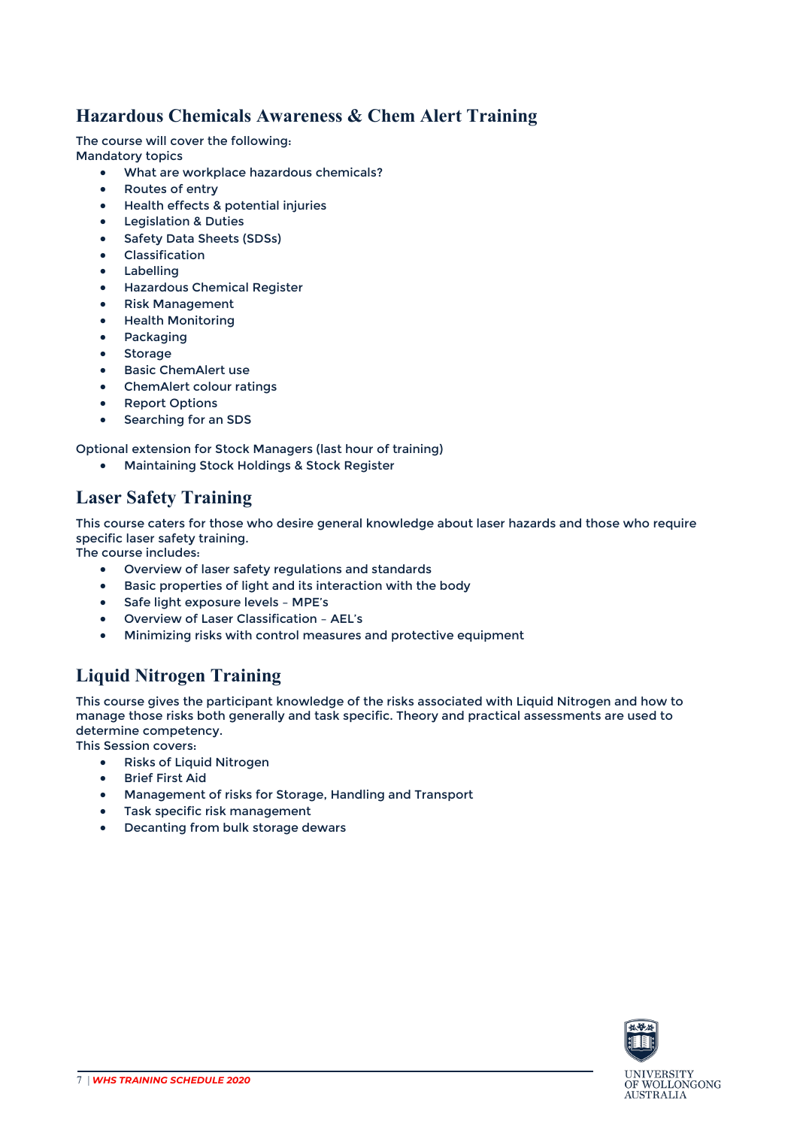#### **Hazardous Chemicals Awareness & Chem Alert Training**

The course will cover the following:

Mandatory topics

- What are workplace hazardous chemicals?
- Routes of entry
- Health effects & potential injuries
- Legislation & Duties
- Safety Data Sheets (SDSs)
- Classification
- Labelling
- Hazardous Chemical Register
- Risk Management
- Health Monitoring
- Packaging
- Storage
- Basic ChemAlert use
- ChemAlert colour ratings
- Report Options
- Searching for an SDS

Optional extension for Stock Managers (last hour of training)

• Maintaining Stock Holdings & Stock Register

### <span id="page-6-0"></span>**Laser Safety Training**

This course caters for those who desire general knowledge about laser hazards and those who require specific laser safety training.

The course includes:

- Overview of laser safety regulations and standards
- Basic properties of light and its interaction with the body
- Safe light exposure levels MPE's
- Overview of Laser Classification AEL's
- Minimizing risks with control measures and protective equipment

## <span id="page-6-1"></span>**Liquid Nitrogen Training**

This course gives the participant knowledge of the risks associated with Liquid Nitrogen and how to manage those risks both generally and task specific. Theory and practical assessments are used to determine competency.

This Session covers:

- Risks of Liquid Nitrogen
- Brief First Aid
- Management of risks for Storage, Handling and Transport
- Task specific risk management
- Decanting from bulk storage dewars

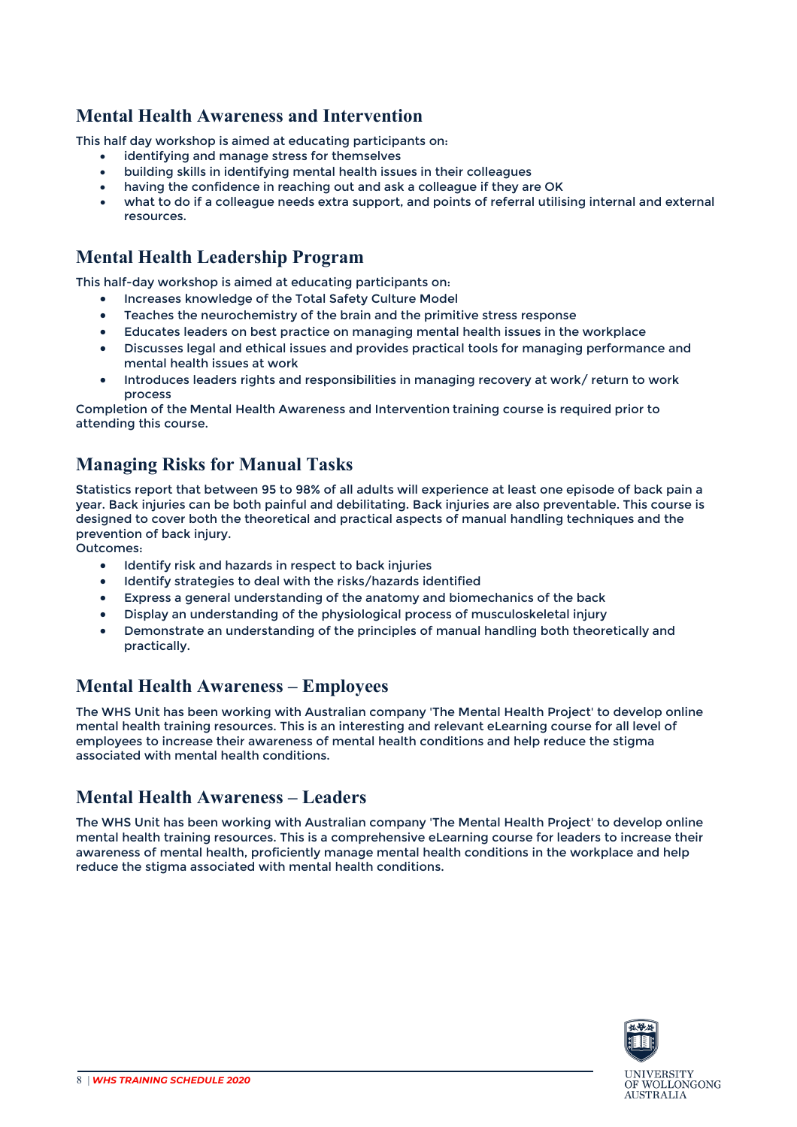#### <span id="page-7-0"></span>**Mental Health Awareness and Intervention**

This half day workshop is aimed at educating participants on:

- identifying and manage stress for themselves
- building skills in identifying mental health issues in their colleagues
- having the confidence in reaching out and ask a colleague if they are OK
- what to do if a colleague needs extra support, and points of referral utilising internal and external resources.

#### <span id="page-7-1"></span>**Mental Health Leadership Program**

This half-day workshop is aimed at educating participants on:

- Increases knowledge of the Total Safety Culture Model
- Teaches the neurochemistry of the brain and the primitive stress response
- Educates leaders on best practice on managing mental health issues in the workplace
- Discusses legal and ethical issues and provides practical tools for managing performance and mental health issues at work
- Introduces leaders rights and responsibilities in managing recovery at work/ return to work process

Completion of the Mental Health Awareness and Intervention training course is required prior to attending this course.

#### <span id="page-7-2"></span>**Managing Risks for Manual Tasks**

Statistics report that between 95 to 98% of all adults will experience at least one episode of back pain a year. Back injuries can be both painful and debilitating. Back injuries are also preventable. This course is designed to cover both the theoretical and practical aspects of manual handling techniques and the prevention of back injury.

Outcomes:

- Identify risk and hazards in respect to back injuries
- Identify strategies to deal with the risks/hazards identified
- Express a general understanding of the anatomy and biomechanics of the back
- Display an understanding of the physiological process of musculoskeletal injury
- Demonstrate an understanding of the principles of manual handling both theoretically and practically.

#### <span id="page-7-3"></span>**Mental Health Awareness – Employees**

The WHS Unit has been working with Australian company 'The Mental Health Project' to develop online mental health training resources. This is an interesting and relevant eLearning course for all level of employees to increase their awareness of mental health conditions and help reduce the stigma associated with mental health conditions.

#### <span id="page-7-4"></span>**Mental Health Awareness – Leaders**

The WHS Unit has been working with Australian company 'The Mental Health Project' to develop online mental health training resources. This is a comprehensive eLearning course for leaders to increase their awareness of mental health, proficiently manage mental health conditions in the workplace and help reduce the stigma associated with mental health conditions.

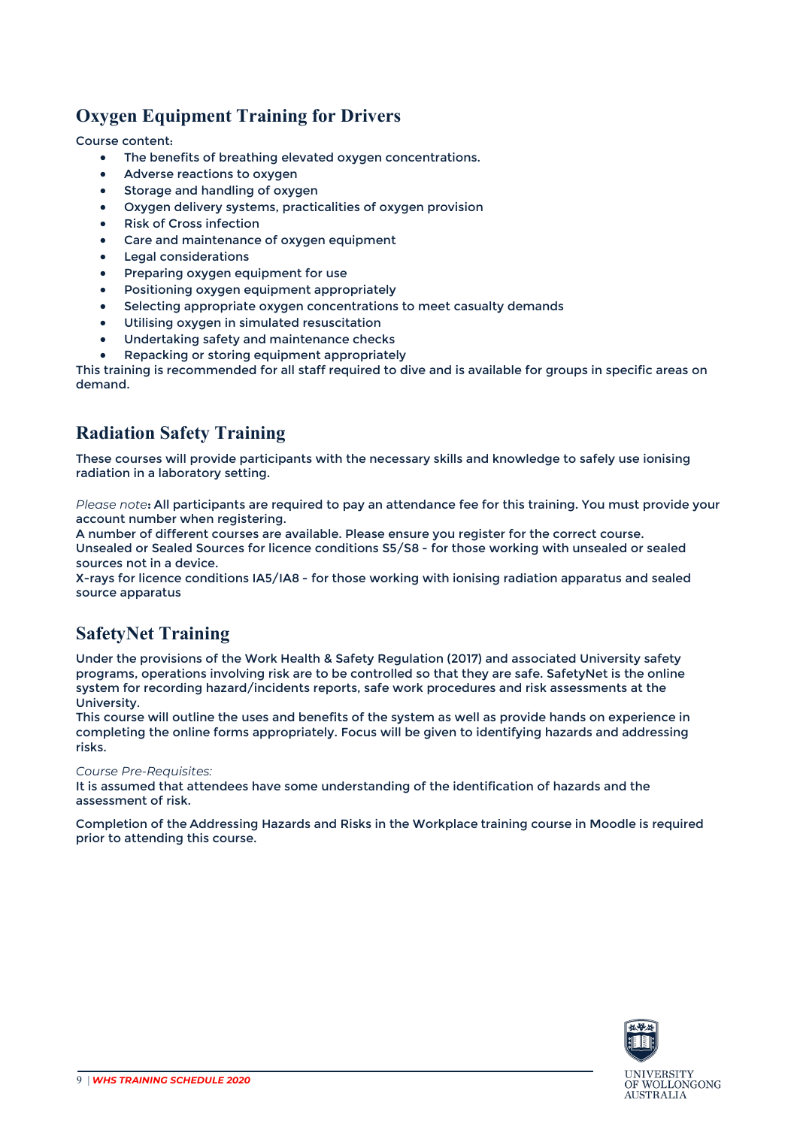### <span id="page-8-0"></span>**Oxygen Equipment Training for Drivers**

Course content:

- The benefits of breathing elevated oxygen concentrations.
- Adverse reactions to oxygen
- Storage and handling of oxygen
- Oxygen delivery systems, practicalities of oxygen provision
- Risk of Cross infection
- Care and maintenance of oxygen equipment
- Legal considerations
- Preparing oxygen equipment for use
- Positioning oxygen equipment appropriately
- Selecting appropriate oxygen concentrations to meet casualty demands
- Utilising oxygen in simulated resuscitation
- Undertaking safety and maintenance checks
- Repacking or storing equipment appropriately

This training is recommended for all staff required to dive and is available for groups in specific areas on demand.

#### <span id="page-8-1"></span>**Radiation Safety Training**

These courses will provide participants with the necessary skills and knowledge to safely use ionising radiation in a laboratory setting.

*Please note***:** All participants are required to pay an attendance fee for this training. You must provide your account number when registering.

A number of different courses are available. Please ensure you register for the correct course. Unsealed or Sealed Sources for licence conditions S5/S8 - for those working with unsealed or sealed sources not in a device.

X-rays for licence conditions IA5/IA8 - for those working with ionising radiation apparatus and sealed source apparatus

#### <span id="page-8-2"></span>**SafetyNet Training**

Under the provisions of the Work Health & Safety Regulation (2017) and associated University safety programs, operations involving risk are to be controlled so that they are safe. SafetyNet is the online system for recording hazard/incidents reports, safe work procedures and risk assessments at the University.

This course will outline the uses and benefits of the system as well as provide hands on experience in completing the online forms appropriately. Focus will be given to identifying hazards and addressing risks.

#### *Course Pre-Requisites:*

It is assumed that attendees have some understanding of the identification of hazards and the assessment of risk.

Completion of the Addressing Hazards and Risks in the Workplace training course in Moodle is required prior to attending this course.